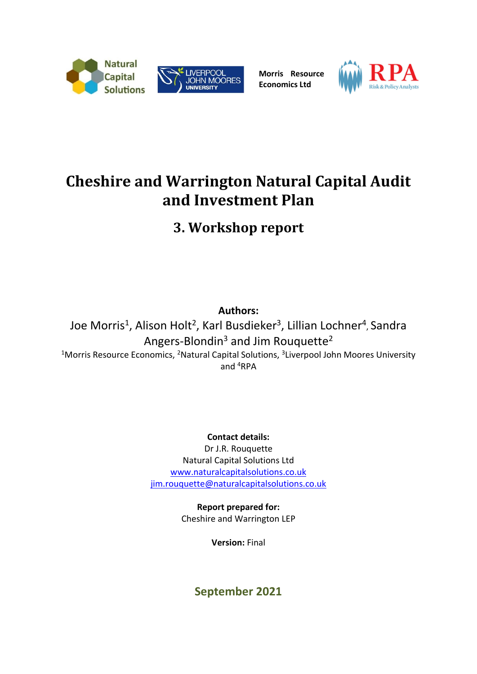

**Morris Resource Economics Ltd**



# **Cheshire and Warrington Natural Capital Audit and Investment Plan**

**3. Workshop report**

**Authors:** Joe Morris<sup>1</sup>, Alison Holt<sup>2</sup>, Karl Busdieker<sup>3</sup>, Lillian Lochner<sup>4</sup>, Sandra Angers-Blondin<sup>3</sup> and Jim Rouquette<sup>2</sup> <sup>1</sup>Morris Resource Economics, <sup>2</sup>Natural Capital Solutions, <sup>3</sup>Liverpool John Moores University and <sup>4</sup>RPA

**Contact details:**

Dr J.R. Rouquette Natural Capital Solutions Ltd [www.naturalcapitalsolutions.co.uk](http://www.naturalcapitalsolutions.co.uk/) [jim.rouquette@naturalcapitalsolutions.co.uk](mailto:jim.rouquette@naturalcapitalsolutions.co.uk)

> **Report prepared for:** Cheshire and Warrington LEP

> > **Version:** Final

**September 2021**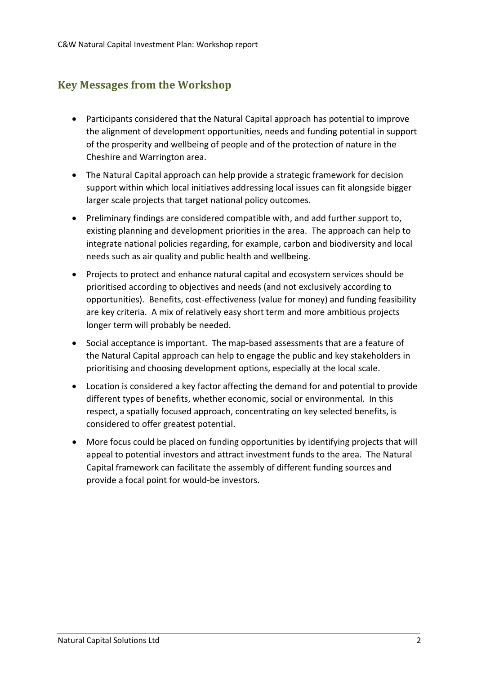# <span id="page-1-0"></span>**Key Messages from the Workshop**

- Participants considered that the Natural Capital approach has potential to improve the alignment of development opportunities, needs and funding potential in support of the prosperity and wellbeing of people and of the protection of nature in the Cheshire and Warrington area.
- The Natural Capital approach can help provide a strategic framework for decision support within which local initiatives addressing local issues can fit alongside bigger larger scale projects that target national policy outcomes.
- Preliminary findings are considered compatible with, and add further support to, existing planning and development priorities in the area. The approach can help to integrate national policies regarding, for example, carbon and biodiversity and local needs such as air quality and public health and wellbeing.
- Projects to protect and enhance natural capital and ecosystem services should be prioritised according to objectives and needs (and not exclusively according to opportunities). Benefits, cost-effectiveness (value for money) and funding feasibility are key criteria. A mix of relatively easy short term and more ambitious projects longer term will probably be needed.
- Social acceptance is important. The map-based assessments that are a feature of the Natural Capital approach can help to engage the public and key stakeholders in prioritising and choosing development options, especially at the local scale.
- Location is considered a key factor affecting the demand for and potential to provide different types of benefits, whether economic, social or environmental. In this respect, a spatially focused approach, concentrating on key selected benefits, is considered to offer greatest potential.
- More focus could be placed on funding opportunities by identifying projects that will appeal to potential investors and attract investment funds to the area. The Natural Capital framework can facilitate the assembly of different funding sources and provide a focal point for would-be investors.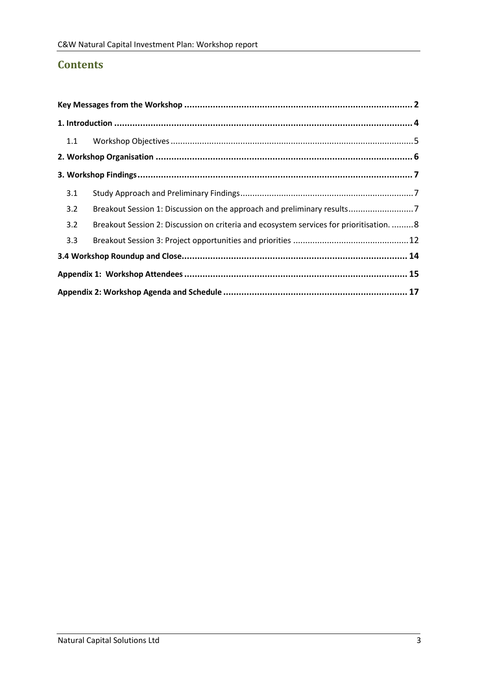# **Contents**

| 3.1 |                                                                                          |  |  |  |
|-----|------------------------------------------------------------------------------------------|--|--|--|
| 3.2 | Breakout Session 1: Discussion on the approach and preliminary results7                  |  |  |  |
| 3.2 | Breakout Session 2: Discussion on criteria and ecosystem services for prioritisation.  8 |  |  |  |
| 3.3 |                                                                                          |  |  |  |
|     |                                                                                          |  |  |  |
|     |                                                                                          |  |  |  |
|     |                                                                                          |  |  |  |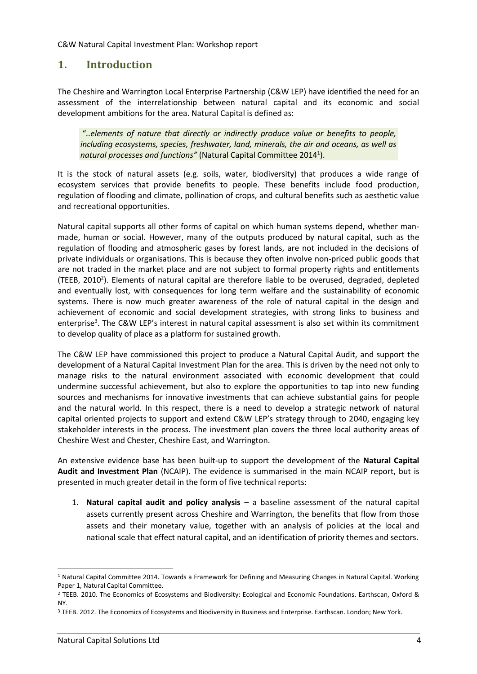### <span id="page-3-0"></span>**1. Introduction**

The Cheshire and Warrington Local Enterprise Partnership (C&W LEP) have identified the need for an assessment of the interrelationship between natural capital and its economic and social development ambitions for the area. Natural Capital is defined as:

"*..elements of nature that directly or indirectly produce value or benefits to people, including ecosystems, species, freshwater, land, minerals, the air and oceans, as well as natural processes and functions"* (Natural Capital Committee 2014<sup>1</sup> ).

It is the stock of natural assets (e.g. soils, water, biodiversity) that produces a wide range of ecosystem services that provide benefits to people. These benefits include food production, regulation of flooding and climate, pollination of crops, and cultural benefits such as aesthetic value and recreational opportunities.

Natural capital supports all other forms of capital on which human systems depend, whether manmade, human or social. However, many of the outputs produced by natural capital, such as the regulation of flooding and atmospheric gases by forest lands, are not included in the decisions of private individuals or organisations. This is because they often involve non-priced public goods that are not traded in the market place and are not subject to formal property rights and entitlements (TEEB, 2010<sup>2</sup>). Elements of natural capital are therefore liable to be overused, degraded, depleted and eventually lost, with consequences for long term welfare and the sustainability of economic systems. There is now much greater awareness of the role of natural capital in the design and achievement of economic and social development strategies, with strong links to business and enterprise<sup>3</sup>. The C&W LEP's interest in natural capital assessment is also set within its commitment to develop quality of place as a platform for sustained growth.

The C&W LEP have commissioned this project to produce a Natural Capital Audit, and support the development of a Natural Capital Investment Plan for the area. This is driven by the need not only to manage risks to the natural environment associated with economic development that could undermine successful achievement, but also to explore the opportunities to tap into new funding sources and mechanisms for innovative investments that can achieve substantial gains for people and the natural world. In this respect, there is a need to develop a strategic network of natural capital oriented projects to support and extend C&W LEP's strategy through to 2040, engaging key stakeholder interests in the process. The investment plan covers the three local authority areas of Cheshire West and Chester, Cheshire East, and Warrington.

An extensive evidence base has been built-up to support the development of the **Natural Capital Audit and Investment Plan** (NCAIP). The evidence is summarised in the main NCAIP report, but is presented in much greater detail in the form of five technical reports:

1. **Natural capital audit and policy analysis** – a baseline assessment of the natural capital assets currently present across Cheshire and Warrington, the benefits that flow from those assets and their monetary value, together with an analysis of policies at the local and national scale that effect natural capital, and an identification of priority themes and sectors.

<sup>1</sup> Natural Capital Committee 2014. Towards a Framework for Defining and Measuring Changes in Natural Capital. Working Paper 1, Natural Capital Committee.

<sup>2</sup> TEEB. 2010. The Economics of Ecosystems and Biodiversity: Ecological and Economic Foundations. Earthscan, Oxford & NY.

<sup>&</sup>lt;sup>3</sup> TEEB. 2012. The Economics of Ecosystems and Biodiversity in Business and Enterprise. Earthscan. London; New York.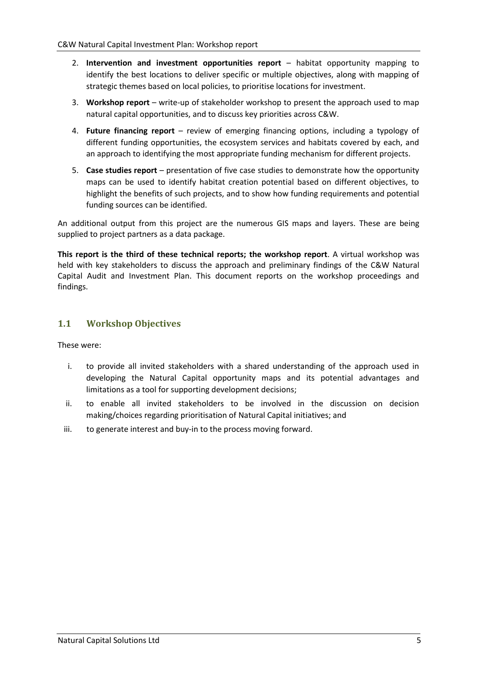- 2. **Intervention and investment opportunities report** habitat opportunity mapping to identify the best locations to deliver specific or multiple objectives, along with mapping of strategic themes based on local policies, to prioritise locations for investment.
- 3. **Workshop report** write-up of stakeholder workshop to present the approach used to map natural capital opportunities, and to discuss key priorities across C&W.
- 4. **Future financing report** review of emerging financing options, including a typology of different funding opportunities, the ecosystem services and habitats covered by each, and an approach to identifying the most appropriate funding mechanism for different projects.
- 5. **Case studies report**  presentation of five case studies to demonstrate how the opportunity maps can be used to identify habitat creation potential based on different objectives, to highlight the benefits of such projects, and to show how funding requirements and potential funding sources can be identified.

An additional output from this project are the numerous GIS maps and layers. These are being supplied to project partners as a data package.

**This report is the third of these technical reports; the workshop report**. A virtual workshop was held with key stakeholders to discuss the approach and preliminary findings of the C&W Natural Capital Audit and Investment Plan. This document reports on the workshop proceedings and findings.

### <span id="page-4-0"></span>**1.1 Workshop Objectives**

These were:

- i. to provide all invited stakeholders with a shared understanding of the approach used in developing the Natural Capital opportunity maps and its potential advantages and limitations as a tool for supporting development decisions;
- ii. to enable all invited stakeholders to be involved in the discussion on decision making/choices regarding prioritisation of Natural Capital initiatives; and
- iii. to generate interest and buy-in to the process moving forward.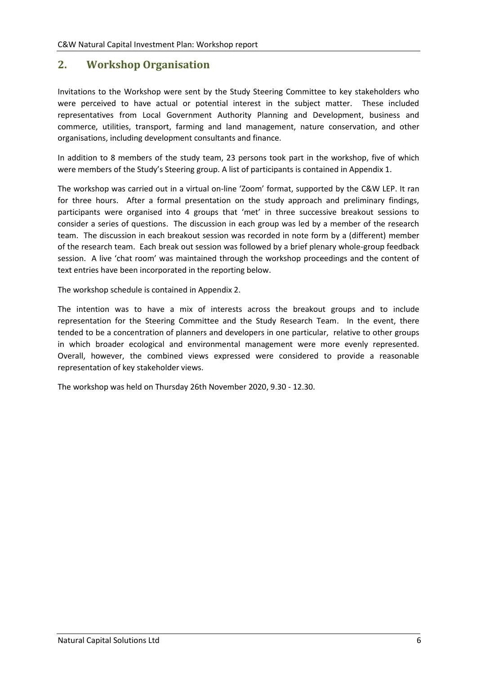### <span id="page-5-0"></span>**2. Workshop Organisation**

Invitations to the Workshop were sent by the Study Steering Committee to key stakeholders who were perceived to have actual or potential interest in the subject matter. These included representatives from Local Government Authority Planning and Development, business and commerce, utilities, transport, farming and land management, nature conservation, and other organisations, including development consultants and finance.

In addition to 8 members of the study team, 23 persons took part in the workshop, five of which were members of the Study's Steering group. A list of participants is contained in Appendix 1.

The workshop was carried out in a virtual on-line 'Zoom' format, supported by the C&W LEP. It ran for three hours. After a formal presentation on the study approach and preliminary findings, participants were organised into 4 groups that 'met' in three successive breakout sessions to consider a series of questions. The discussion in each group was led by a member of the research team. The discussion in each breakout session was recorded in note form by a (different) member of the research team. Each break out session was followed by a brief plenary whole-group feedback session. A live 'chat room' was maintained through the workshop proceedings and the content of text entries have been incorporated in the reporting below.

The workshop schedule is contained in Appendix 2.

The intention was to have a mix of interests across the breakout groups and to include representation for the Steering Committee and the Study Research Team. In the event, there tended to be a concentration of planners and developers in one particular, relative to other groups in which broader ecological and environmental management were more evenly represented. Overall, however, the combined views expressed were considered to provide a reasonable representation of key stakeholder views.

The workshop was held on Thursday 26th November 2020, 9.30 - 12.30.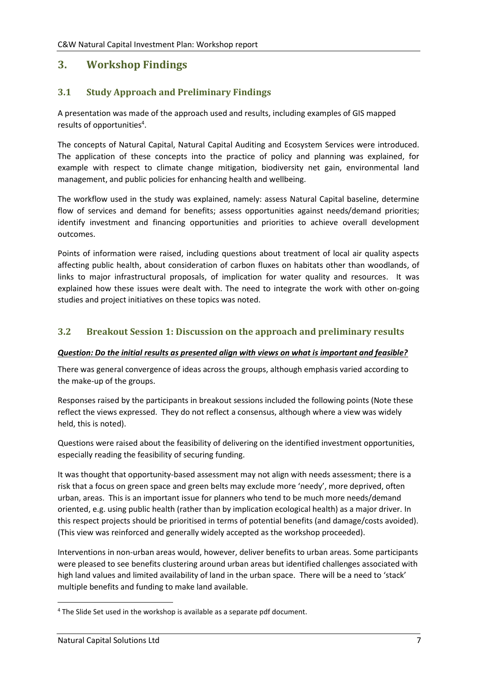## <span id="page-6-0"></span>**3. Workshop Findings**

### <span id="page-6-1"></span>**3.1 Study Approach and Preliminary Findings**

A presentation was made of the approach used and results, including examples of GIS mapped results of opportunities<sup>4</sup>.

The concepts of Natural Capital, Natural Capital Auditing and Ecosystem Services were introduced. The application of these concepts into the practice of policy and planning was explained, for example with respect to climate change mitigation, biodiversity net gain, environmental land management, and public policies for enhancing health and wellbeing.

The workflow used in the study was explained, namely: assess Natural Capital baseline, determine flow of services and demand for benefits; assess opportunities against needs/demand priorities; identify investment and financing opportunities and priorities to achieve overall development outcomes.

Points of information were raised, including questions about treatment of local air quality aspects affecting public health, about consideration of carbon fluxes on habitats other than woodlands, of links to major infrastructural proposals, of implication for water quality and resources. It was explained how these issues were dealt with. The need to integrate the work with other on-going studies and project initiatives on these topics was noted.

### <span id="page-6-2"></span>**3.2 Breakout Session 1: Discussion on the approach and preliminary results**

#### *Question: Do the initial results as presented align with views on what is important and feasible?*

There was general convergence of ideas across the groups, although emphasis varied according to the make-up of the groups.

Responses raised by the participants in breakout sessions included the following points (Note these reflect the views expressed. They do not reflect a consensus, although where a view was widely held, this is noted).

Questions were raised about the feasibility of delivering on the identified investment opportunities, especially reading the feasibility of securing funding.

It was thought that opportunity-based assessment may not align with needs assessment; there is a risk that a focus on green space and green belts may exclude more 'needy', more deprived, often urban, areas. This is an important issue for planners who tend to be much more needs/demand oriented, e.g. using public health (rather than by implication ecological health) as a major driver. In this respect projects should be prioritised in terms of potential benefits (and damage/costs avoided). (This view was reinforced and generally widely accepted as the workshop proceeded).

Interventions in non-urban areas would, however, deliver benefits to urban areas. Some participants were pleased to see benefits clustering around urban areas but identified challenges associated with high land values and limited availability of land in the urban space. There will be a need to 'stack' multiple benefits and funding to make land available.

<sup>4</sup> The Slide Set used in the workshop is available as a separate pdf document.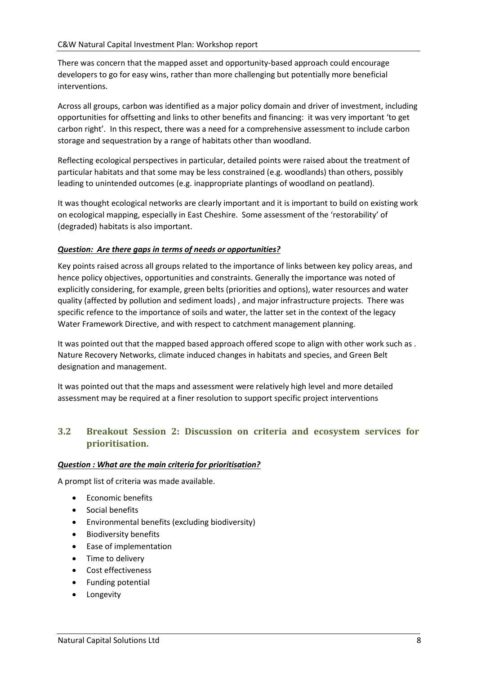There was concern that the mapped asset and opportunity-based approach could encourage developers to go for easy wins, rather than more challenging but potentially more beneficial interventions.

Across all groups, carbon was identified as a major policy domain and driver of investment, including opportunities for offsetting and links to other benefits and financing: it was very important 'to get carbon right'. In this respect, there was a need for a comprehensive assessment to include carbon storage and sequestration by a range of habitats other than woodland.

Reflecting ecological perspectives in particular, detailed points were raised about the treatment of particular habitats and that some may be less constrained (e.g. woodlands) than others, possibly leading to unintended outcomes (e.g. inappropriate plantings of woodland on peatland).

It was thought ecological networks are clearly important and it is important to build on existing work on ecological mapping, especially in East Cheshire. Some assessment of the 'restorability' of (degraded) habitats is also important.

#### *Question: Are there gaps in terms of needs or opportunities?*

Key points raised across all groups related to the importance of links between key policy areas, and hence policy objectives, opportunities and constraints. Generally the importance was noted of explicitly considering, for example, green belts (priorities and options), water resources and water quality (affected by pollution and sediment loads) , and major infrastructure projects. There was specific refence to the importance of soils and water, the latter set in the context of the legacy Water Framework Directive, and with respect to catchment management planning.

It was pointed out that the mapped based approach offered scope to align with other work such as . Nature Recovery Networks, climate induced changes in habitats and species, and Green Belt designation and management.

It was pointed out that the maps and assessment were relatively high level and more detailed assessment may be required at a finer resolution to support specific project interventions

### <span id="page-7-0"></span>**3.2 Breakout Session 2: Discussion on criteria and ecosystem services for prioritisation.**

#### *Question : What are the main criteria for prioritisation?*

A prompt list of criteria was made available.

- Economic benefits
- Social benefits
- Environmental benefits (excluding biodiversity)
- Biodiversity benefits
- Ease of implementation
- Time to delivery
- Cost effectiveness
- Funding potential
- **Longevity**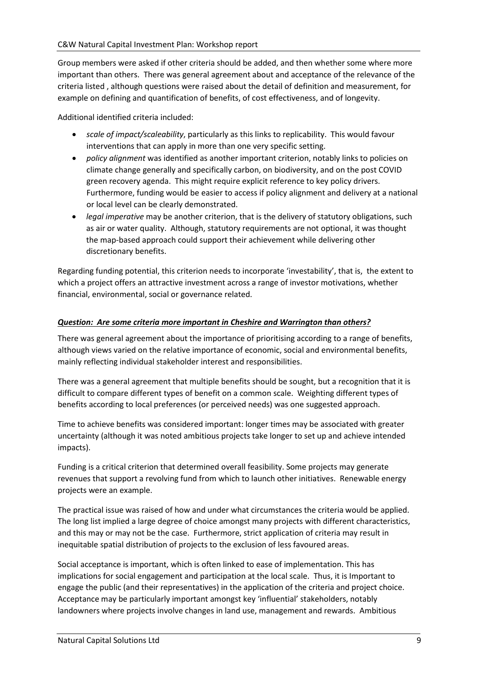Group members were asked if other criteria should be added, and then whether some where more important than others. There was general agreement about and acceptance of the relevance of the criteria listed , although questions were raised about the detail of definition and measurement, for example on defining and quantification of benefits, of cost effectiveness, and of longevity.

Additional identified criteria included:

- *scale of impact/scaleability*, particularly as this links to replicability. This would favour interventions that can apply in more than one very specific setting.
- *policy alignment* was identified as another important criterion, notably links to policies on climate change generally and specifically carbon, on biodiversity, and on the post COVID green recovery agenda. This might require explicit reference to key policy drivers. Furthermore, funding would be easier to access if policy alignment and delivery at a national or local level can be clearly demonstrated.
- *legal imperative* may be another criterion, that is the delivery of statutory obligations, such as air or water quality. Although, statutory requirements are not optional, it was thought the map-based approach could support their achievement while delivering other discretionary benefits.

Regarding funding potential, this criterion needs to incorporate 'investability', that is, the extent to which a project offers an attractive investment across a range of investor motivations, whether financial, environmental, social or governance related.

#### *Question: Are some criteria more important in Cheshire and Warrington than others?*

There was general agreement about the importance of prioritising according to a range of benefits, although views varied on the relative importance of economic, social and environmental benefits, mainly reflecting individual stakeholder interest and responsibilities.

There was a general agreement that multiple benefits should be sought, but a recognition that it is difficult to compare different types of benefit on a common scale. Weighting different types of benefits according to local preferences (or perceived needs) was one suggested approach.

Time to achieve benefits was considered important: longer times may be associated with greater uncertainty (although it was noted ambitious projects take longer to set up and achieve intended impacts).

Funding is a critical criterion that determined overall feasibility. Some projects may generate revenues that support a revolving fund from which to launch other initiatives. Renewable energy projects were an example.

The practical issue was raised of how and under what circumstances the criteria would be applied. The long list implied a large degree of choice amongst many projects with different characteristics, and this may or may not be the case. Furthermore, strict application of criteria may result in inequitable spatial distribution of projects to the exclusion of less favoured areas.

Social acceptance is important, which is often linked to ease of implementation. This has implications for social engagement and participation at the local scale. Thus, it is Important to engage the public (and their representatives) in the application of the criteria and project choice. Acceptance may be particularly important amongst key 'influential' stakeholders, notably landowners where projects involve changes in land use, management and rewards. Ambitious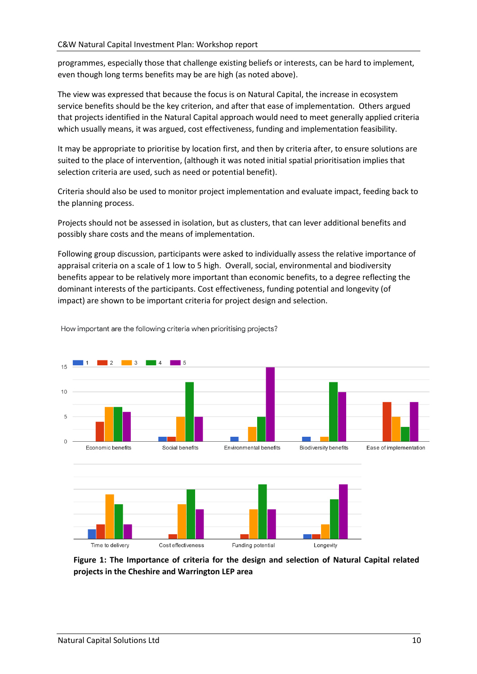programmes, especially those that challenge existing beliefs or interests, can be hard to implement, even though long terms benefits may be are high (as noted above).

The view was expressed that because the focus is on Natural Capital, the increase in ecosystem service benefits should be the key criterion, and after that ease of implementation. Others argued that projects identified in the Natural Capital approach would need to meet generally applied criteria which usually means, it was argued, cost effectiveness, funding and implementation feasibility.

It may be appropriate to prioritise by location first, and then by criteria after, to ensure solutions are suited to the place of intervention, (although it was noted initial spatial prioritisation implies that selection criteria are used, such as need or potential benefit).

Criteria should also be used to monitor project implementation and evaluate impact, feeding back to the planning process.

Projects should not be assessed in isolation, but as clusters, that can lever additional benefits and possibly share costs and the means of implementation.

Following group discussion, participants were asked to individually assess the relative importance of appraisal criteria on a scale of 1 low to 5 high. Overall, social, environmental and biodiversity benefits appear to be relatively more important than economic benefits, to a degree reflecting the dominant interests of the participants. Cost effectiveness, funding potential and longevity (of impact) are shown to be important criteria for project design and selection.



How important are the following criteria when prioritising projects?

**Figure 1: The Importance of criteria for the design and selection of Natural Capital related projects in the Cheshire and Warrington LEP area**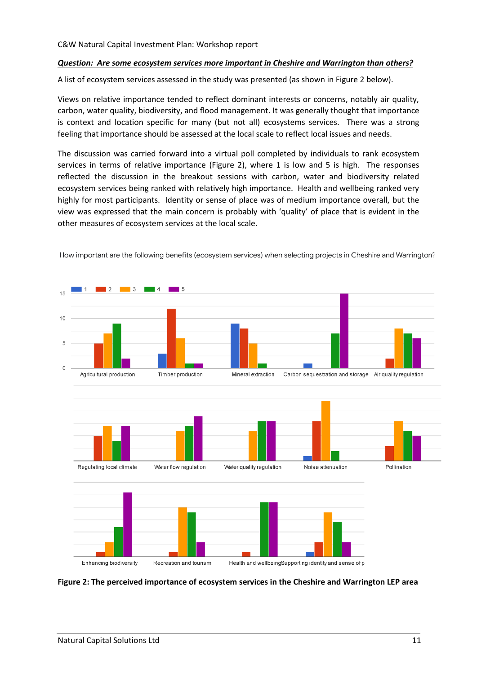#### *Question: Are some ecosystem services more important in Cheshire and Warrington than others?*

A list of ecosystem services assessed in the study was presented (as shown in Figure 2 below).

Views on relative importance tended to reflect dominant interests or concerns, notably air quality, carbon, water quality, biodiversity, and flood management. It was generally thought that importance is context and location specific for many (but not all) ecosystems services. There was a strong feeling that importance should be assessed at the local scale to reflect local issues and needs.

The discussion was carried forward into a virtual poll completed by individuals to rank ecosystem services in terms of relative importance (Figure 2), where 1 is low and 5 is high. The responses reflected the discussion in the breakout sessions with carbon, water and biodiversity related ecosystem services being ranked with relatively high importance. Health and wellbeing ranked very highly for most participants. Identity or sense of place was of medium importance overall, but the view was expressed that the main concern is probably with 'quality' of place that is evident in the other measures of ecosystem services at the local scale.



How important are the following benefits (ecosystem services) when selecting projects in Cheshire and Warrington?

**Figure 2: The perceived importance of ecosystem services in the Cheshire and Warrington LEP area**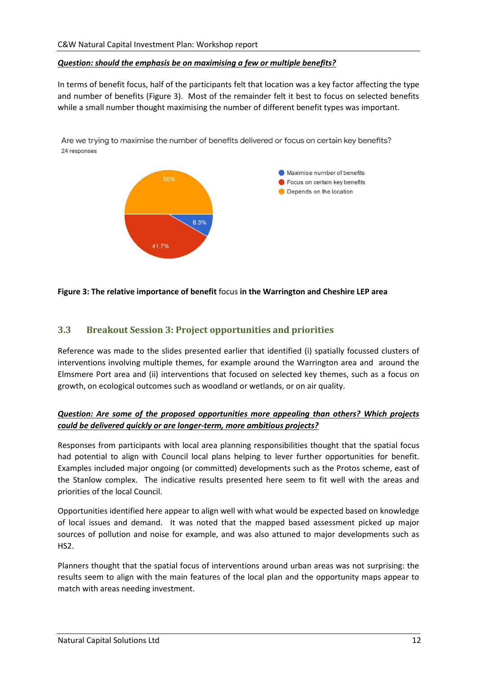#### *Question: should the emphasis be on maximising a few or multiple benefits?*

In terms of benefit focus, half of the participants felt that location was a key factor affecting the type and number of benefits (Figure 3). Most of the remainder felt it best to focus on selected benefits while a small number thought maximising the number of different benefit types was important.

Are we trying to maximise the number of benefits delivered or focus on certain key benefits? 24 responses



#### **Figure 3: The relative importance of benefit** focus **in the Warrington and Cheshire LEP area**

#### <span id="page-11-0"></span>**3.3 Breakout Session 3: Project opportunities and priorities**

Reference was made to the slides presented earlier that identified (i) spatially focussed clusters of interventions involving multiple themes, for example around the Warrington area and around the Elmsmere Port area and (ii) interventions that focused on selected key themes, such as a focus on growth, on ecological outcomes such as woodland or wetlands, or on air quality.

#### *Question: Are some of the proposed opportunities more appealing than others? Which projects could be delivered quickly or are longer-term, more ambitious projects?*

Responses from participants with local area planning responsibilities thought that the spatial focus had potential to align with Council local plans helping to lever further opportunities for benefit. Examples included major ongoing (or committed) developments such as the Protos scheme, east of the Stanlow complex. The indicative results presented here seem to fit well with the areas and priorities of the local Council.

Opportunities identified here appear to align well with what would be expected based on knowledge of local issues and demand. It was noted that the mapped based assessment picked up major sources of pollution and noise for example, and was also attuned to major developments such as HS2.

Planners thought that the spatial focus of interventions around urban areas was not surprising: the results seem to align with the main features of the local plan and the opportunity maps appear to match with areas needing investment.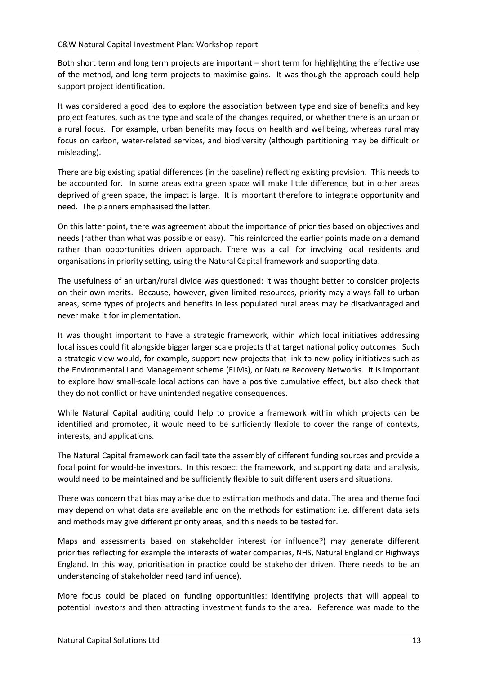Both short term and long term projects are important – short term for highlighting the effective use of the method, and long term projects to maximise gains. It was though the approach could help support project identification.

It was considered a good idea to explore the association between type and size of benefits and key project features, such as the type and scale of the changes required, or whether there is an urban or a rural focus. For example, urban benefits may focus on health and wellbeing, whereas rural may focus on carbon, water-related services, and biodiversity (although partitioning may be difficult or misleading).

There are big existing spatial differences (in the baseline) reflecting existing provision. This needs to be accounted for. In some areas extra green space will make little difference, but in other areas deprived of green space, the impact is large. It is important therefore to integrate opportunity and need. The planners emphasised the latter.

On this latter point, there was agreement about the importance of priorities based on objectives and needs (rather than what was possible or easy). This reinforced the earlier points made on a demand rather than opportunities driven approach. There was a call for involving local residents and organisations in priority setting, using the Natural Capital framework and supporting data.

The usefulness of an urban/rural divide was questioned: it was thought better to consider projects on their own merits. Because, however, given limited resources, priority may always fall to urban areas, some types of projects and benefits in less populated rural areas may be disadvantaged and never make it for implementation.

It was thought important to have a strategic framework, within which local initiatives addressing local issues could fit alongside bigger larger scale projects that target national policy outcomes. Such a strategic view would, for example, support new projects that link to new policy initiatives such as the Environmental Land Management scheme (ELMs), or Nature Recovery Networks. It is important to explore how small-scale local actions can have a positive cumulative effect, but also check that they do not conflict or have unintended negative consequences.

While Natural Capital auditing could help to provide a framework within which projects can be identified and promoted, it would need to be sufficiently flexible to cover the range of contexts, interests, and applications.

The Natural Capital framework can facilitate the assembly of different funding sources and provide a focal point for would-be investors. In this respect the framework, and supporting data and analysis, would need to be maintained and be sufficiently flexible to suit different users and situations.

There was concern that bias may arise due to estimation methods and data. The area and theme foci may depend on what data are available and on the methods for estimation: i.e. different data sets and methods may give different priority areas, and this needs to be tested for.

Maps and assessments based on stakeholder interest (or influence?) may generate different priorities reflecting for example the interests of water companies, NHS, Natural England or Highways England. In this way, prioritisation in practice could be stakeholder driven. There needs to be an understanding of stakeholder need (and influence).

More focus could be placed on funding opportunities: identifying projects that will appeal to potential investors and then attracting investment funds to the area. Reference was made to the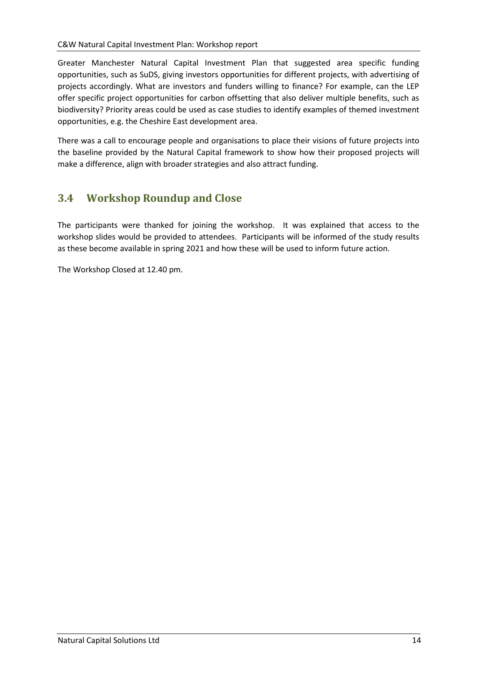Greater Manchester Natural Capital Investment Plan that suggested area specific funding opportunities, such as SuDS, giving investors opportunities for different projects, with advertising of projects accordingly. What are investors and funders willing to finance? For example, can the LEP offer specific project opportunities for carbon offsetting that also deliver multiple benefits, such as biodiversity? Priority areas could be used as case studies to identify examples of themed investment opportunities, e.g. the Cheshire East development area.

There was a call to encourage people and organisations to place their visions of future projects into the baseline provided by the Natural Capital framework to show how their proposed projects will make a difference, align with broader strategies and also attract funding.

# <span id="page-13-0"></span>**3.4 Workshop Roundup and Close**

The participants were thanked for joining the workshop. It was explained that access to the workshop slides would be provided to attendees. Participants will be informed of the study results as these become available in spring 2021 and how these will be used to inform future action.

The Workshop Closed at 12.40 pm.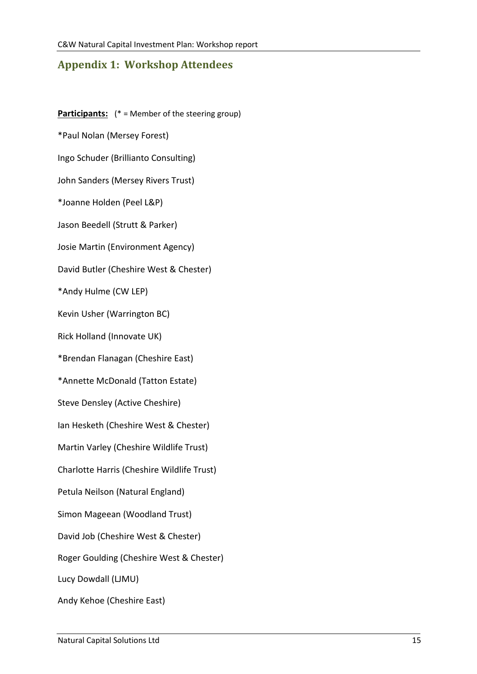# <span id="page-14-0"></span>**Appendix 1: Workshop Attendees**

**Participants:** (\* = Member of the steering group) \*Paul Nolan (Mersey Forest) Ingo Schuder (Brillianto Consulting) John Sanders (Mersey Rivers Trust) \*Joanne Holden (Peel L&P) Jason Beedell (Strutt & Parker) Josie Martin (Environment Agency) David Butler (Cheshire West & Chester) \*Andy Hulme (CW LEP) Kevin Usher (Warrington BC) Rick Holland (Innovate UK) \*Brendan Flanagan (Cheshire East) \*Annette McDonald (Tatton Estate) Steve Densley (Active Cheshire) Ian Hesketh (Cheshire West & Chester) Martin Varley (Cheshire Wildlife Trust) Charlotte Harris (Cheshire Wildlife Trust) Petula Neilson (Natural England) Simon Mageean (Woodland Trust) David Job (Cheshire West & Chester) Roger Goulding (Cheshire West & Chester) Lucy Dowdall (LJMU) Andy Kehoe (Cheshire East)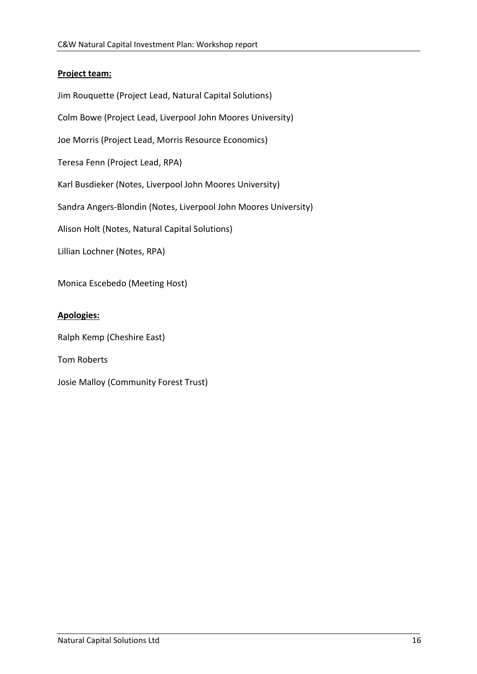#### **Project team:**

Jim Rouquette (Project Lead, Natural Capital Solutions) Colm Bowe (Project Lead, Liverpool John Moores University) Joe Morris (Project Lead, Morris Resource Economics) Teresa Fenn (Project Lead, RPA) Karl Busdieker (Notes, Liverpool John Moores University) Sandra Angers-Blondin (Notes, Liverpool John Moores University) Alison Holt (Notes, Natural Capital Solutions) Lillian Lochner (Notes, RPA) Monica Escebedo (Meeting Host)

#### **Apologies:**

Ralph Kemp (Cheshire East)

Tom Roberts

Josie Malloy (Community Forest Trust)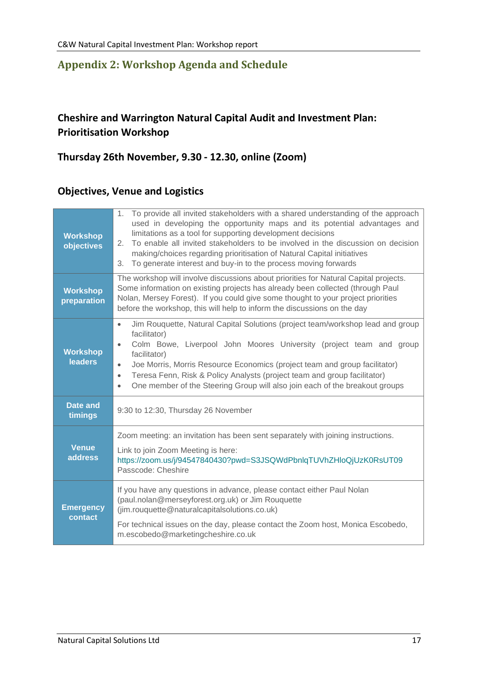## <span id="page-16-0"></span>**Appendix 2: Workshop Agenda and Schedule**

# **Cheshire and Warrington Natural Capital Audit and Investment Plan: Prioritisation Workshop**

# **Thursday 26th November, 9.30 - 12.30, online (Zoom)**

### **Objectives, Venue and Logistics**

| <b>Workshop</b><br>objectives     | 1. To provide all invited stakeholders with a shared understanding of the approach<br>used in developing the opportunity maps and its potential advantages and<br>limitations as a tool for supporting development decisions<br>2. To enable all invited stakeholders to be involved in the discussion on decision<br>making/choices regarding prioritisation of Natural Capital initiatives<br>To generate interest and buy-in to the process moving forwards<br>3.                            |  |  |  |
|-----------------------------------|-------------------------------------------------------------------------------------------------------------------------------------------------------------------------------------------------------------------------------------------------------------------------------------------------------------------------------------------------------------------------------------------------------------------------------------------------------------------------------------------------|--|--|--|
| <b>Workshop</b><br>preparation    | The workshop will involve discussions about priorities for Natural Capital projects.<br>Some information on existing projects has already been collected (through Paul<br>Nolan, Mersey Forest). If you could give some thought to your project priorities<br>before the workshop, this will help to inform the discussions on the day                                                                                                                                                          |  |  |  |
| <b>Workshop</b><br><b>leaders</b> | Jim Rouquette, Natural Capital Solutions (project team/workshop lead and group<br>$\bullet$<br>facilitator)<br>Colm Bowe, Liverpool John Moores University (project team and group<br>$\bullet$<br>facilitator)<br>Joe Morris, Morris Resource Economics (project team and group facilitator)<br>$\bullet$<br>Teresa Fenn, Risk & Policy Analysts (project team and group facilitator)<br>$\bullet$<br>One member of the Steering Group will also join each of the breakout groups<br>$\bullet$ |  |  |  |
| Date and<br>timings               | 9:30 to 12:30, Thursday 26 November                                                                                                                                                                                                                                                                                                                                                                                                                                                             |  |  |  |
| <b>Venue</b><br><b>address</b>    | Zoom meeting: an invitation has been sent separately with joining instructions.<br>Link to join Zoom Meeting is here:<br>https://zoom.us/j/94547840430?pwd=S3JSQWdPbnlqTUVhZHloQjUzK0RsUT09<br>Passcode: Cheshire                                                                                                                                                                                                                                                                               |  |  |  |
| <b>Emergency</b><br>contact       | If you have any questions in advance, please contact either Paul Nolan<br>(paul.nolan@merseyforest.org.uk) or Jim Rouquette<br>(jim.rouquette@naturalcapitalsolutions.co.uk)<br>For technical issues on the day, please contact the Zoom host, Monica Escobedo,<br>m.escobedo@marketingcheshire.co.uk                                                                                                                                                                                           |  |  |  |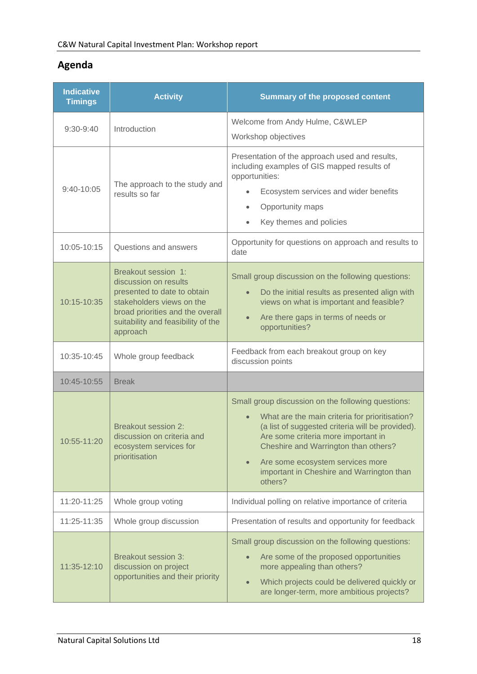# **Agenda**

| <b>Indicative</b><br><b>Timings</b> | <b>Activity</b>                                                                                                                                                                                | <b>Summary of the proposed content</b>                                                                                                                                                                                                                                                                                                                        |
|-------------------------------------|------------------------------------------------------------------------------------------------------------------------------------------------------------------------------------------------|---------------------------------------------------------------------------------------------------------------------------------------------------------------------------------------------------------------------------------------------------------------------------------------------------------------------------------------------------------------|
| $9:30-9:40$                         | Introduction                                                                                                                                                                                   | Welcome from Andy Hulme, C&WLEP<br>Workshop objectives                                                                                                                                                                                                                                                                                                        |
| 9:40-10:05                          | The approach to the study and<br>results so far                                                                                                                                                | Presentation of the approach used and results,<br>including examples of GIS mapped results of<br>opportunities:<br>Ecosystem services and wider benefits<br>$\bullet$<br>Opportunity maps<br>$\bullet$<br>Key themes and policies                                                                                                                             |
| 10:05-10:15                         | Questions and answers                                                                                                                                                                          | Opportunity for questions on approach and results to<br>date                                                                                                                                                                                                                                                                                                  |
| 10:15-10:35                         | Breakout session 1:<br>discussion on results<br>presented to date to obtain<br>stakeholders views on the<br>broad priorities and the overall<br>suitability and feasibility of the<br>approach | Small group discussion on the following questions:<br>Do the initial results as presented align with<br>$\bullet$<br>views on what is important and feasible?<br>Are there gaps in terms of needs or<br>$\bullet$<br>opportunities?                                                                                                                           |
| 10:35-10:45                         | Whole group feedback                                                                                                                                                                           | Feedback from each breakout group on key<br>discussion points                                                                                                                                                                                                                                                                                                 |
| 10:45-10:55                         | <b>Break</b>                                                                                                                                                                                   |                                                                                                                                                                                                                                                                                                                                                               |
| 10:55-11:20                         | <b>Breakout session 2:</b><br>discussion on criteria and<br>ecosystem services for<br>prioritisation                                                                                           | Small group discussion on the following questions:<br>What are the main criteria for prioritisation?<br>$\bullet$<br>(a list of suggested criteria will be provided).<br>Are some criteria more important in<br>Cheshire and Warrington than others?<br>Are some ecosystem services more<br>$\bullet$<br>important in Cheshire and Warrington than<br>others? |
| 11:20-11:25                         | Whole group voting                                                                                                                                                                             | Individual polling on relative importance of criteria                                                                                                                                                                                                                                                                                                         |
| 11:25-11:35                         | Whole group discussion                                                                                                                                                                         | Presentation of results and opportunity for feedback                                                                                                                                                                                                                                                                                                          |
| 11:35-12:10                         | <b>Breakout session 3:</b><br>discussion on project<br>opportunities and their priority                                                                                                        | Small group discussion on the following questions:<br>Are some of the proposed opportunities<br>more appealing than others?<br>Which projects could be delivered quickly or<br>$\bullet$<br>are longer-term, more ambitious projects?                                                                                                                         |